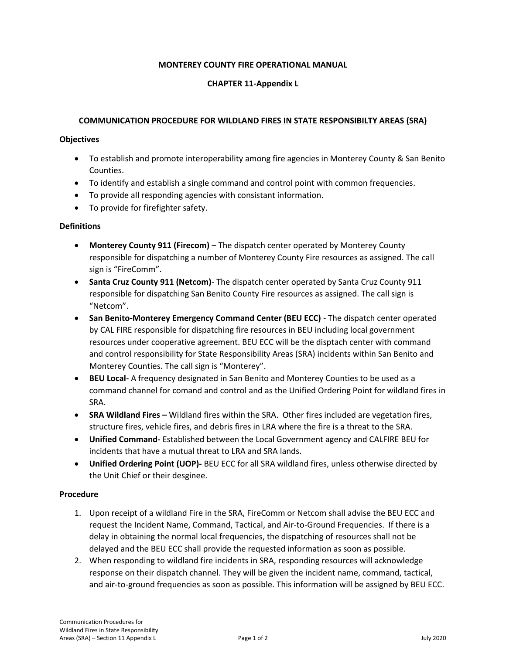### **MONTEREY COUNTY FIRE OPERATIONAL MANUAL**

## **CHAPTER 11-Appendix L**

### **COMMUNICATION PROCEDURE FOR WILDLAND FIRES IN STATE RESPONSIBILTY AREAS (SRA)**

#### **Objectives**

- To establish and promote interoperability among fire agencies in Monterey County & San Benito Counties.
- To identify and establish a single command and control point with common frequencies.
- To provide all responding agencies with consistant information.
- To provide for firefighter safety.

## **Definitions**

- **Monterey County 911 (Firecom)** The dispatch center operated by Monterey County responsible for dispatching a number of Monterey County Fire resources as assigned. The call sign is "FireComm".
- **Santa Cruz County 911 (Netcom)** The dispatch center operated by Santa Cruz County 911 responsible for dispatching San Benito County Fire resources as assigned. The call sign is "Netcom".
- **San Benito-Monterey Emergency Command Center (BEU ECC)** The dispatch center operated by CAL FIRE responsible for dispatching fire resources in BEU including local government resources under cooperative agreement. BEU ECC will be the disptach center with command and control responsibility for State Responsibility Areas (SRA) incidents within San Benito and Monterey Counties. The call sign is "Monterey".
- **BEU Local-** A frequency designated in San Benito and Monterey Counties to be used as a command channel for comand and control and as the Unified Ordering Point for wildland fires in SRA.
- **SRA Wildland Fires –** Wildland fires within the SRA. Other fires included are vegetation fires, structure fires, vehicle fires, and debris fires in LRA where the fire is a threat to the SRA.
- **Unified Command-** Established between the Local Government agency and CALFIRE BEU for incidents that have a mutual threat to LRA and SRA lands.
- **Unified Ordering Point (UOP)-** BEU ECC for all SRA wildland fires, unless otherwise directed by the Unit Chief or their desginee.

#### **Procedure**

- 1. Upon receipt of a wildland Fire in the SRA, FireComm or Netcom shall advise the BEU ECC and request the Incident Name, Command, Tactical, and Air-to-Ground Frequencies. If there is a delay in obtaining the normal local frequencies, the dispatching of resources shall not be delayed and the BEU ECC shall provide the requested information as soon as possible.
- 2. When responding to wildland fire incidents in SRA, responding resources will acknowledge response on their dispatch channel. They will be given the incident name, command, tactical, and air-to-ground frequencies as soon as possible. This information will be assigned by BEU ECC.